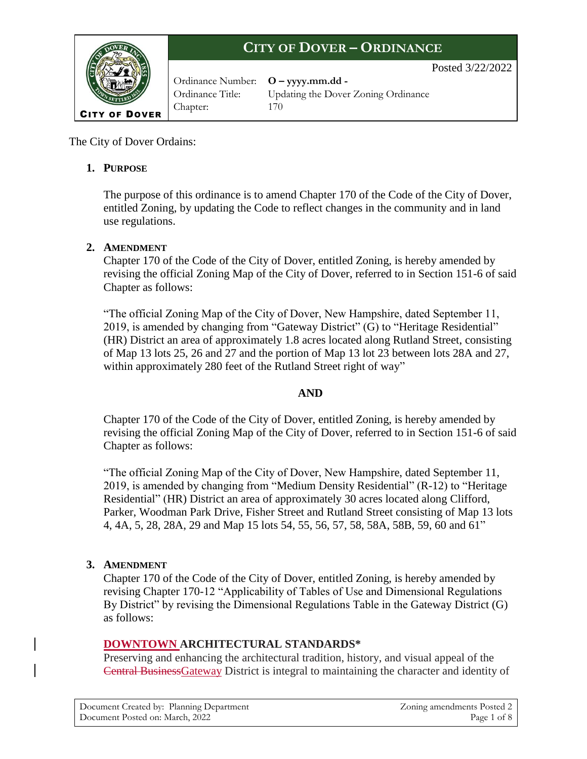

Ordinance Number: **O – yyyy.mm.dd -** Chapter: 170

Ordinance Title: Updating the Dover Zoning Ordinance

Posted 3/22/2022

The City of Dover Ordains:

### **1. PURPOSE**

The purpose of this ordinance is to amend Chapter 170 of the Code of the City of Dover, entitled Zoning, by updating the Code to reflect changes in the community and in land use regulations.

### **2. AMENDMENT**

Chapter 170 of the Code of the City of Dover, entitled Zoning, is hereby amended by revising the official Zoning Map of the City of Dover, referred to in Section 151-6 of said Chapter as follows:

"The official Zoning Map of the City of Dover, New Hampshire, dated September 11, 2019, is amended by changing from "Gateway District" (G) to "Heritage Residential" (HR) District an area of approximately 1.8 acres located along Rutland Street, consisting of Map 13 lots 25, 26 and 27 and the portion of Map 13 lot 23 between lots 28A and 27, within approximately 280 feet of the Rutland Street right of way"

### **AND**

Chapter 170 of the Code of the City of Dover, entitled Zoning, is hereby amended by revising the official Zoning Map of the City of Dover, referred to in Section 151-6 of said Chapter as follows:

"The official Zoning Map of the City of Dover, New Hampshire, dated September 11, 2019, is amended by changing from "Medium Density Residential" (R-12) to "Heritage Residential" (HR) District an area of approximately 30 acres located along Clifford, Parker, Woodman Park Drive, Fisher Street and Rutland Street consisting of Map 13 lots 4, 4A, 5, 28, 28A, 29 and Map 15 lots 54, 55, 56, 57, 58, 58A, 58B, 59, 60 and 61"

### **3. AMENDMENT**

Chapter 170 of the Code of the City of Dover, entitled Zoning, is hereby amended by revising Chapter 170-12 "Applicability of Tables of Use and Dimensional Regulations By District" by revising the Dimensional Regulations Table in the Gateway District (G) as follows:

### **DOWNTOWN ARCHITECTURAL STANDARDS\***

Preserving and enhancing the architectural tradition, history, and visual appeal of the Central BusinessGateway District is integral to maintaining the character and identity of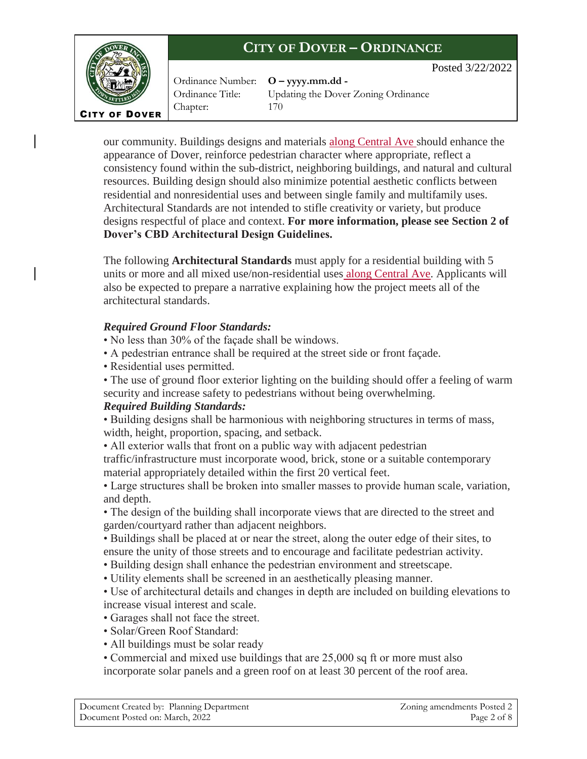



Ordinance Number: **O – yyyy.mm.dd -** Chapter: 170

Ordinance Title: Updating the Dover Zoning Ordinance

our community. Buildings designs and materials along Central Ave should enhance the appearance of Dover, reinforce pedestrian character where appropriate, reflect a consistency found within the sub-district, neighboring buildings, and natural and cultural resources. Building design should also minimize potential aesthetic conflicts between residential and nonresidential uses and between single family and multifamily uses. Architectural Standards are not intended to stifle creativity or variety, but produce designs respectful of place and context. **For more information, please see Section 2 of Dover's CBD Architectural Design Guidelines.**

The following **Architectural Standards** must apply for a residential building with 5 units or more and all mixed use/non-residential uses along Central Ave. Applicants will also be expected to prepare a narrative explaining how the project meets all of the architectural standards.

### *Required Ground Floor Standards:*

- No less than 30% of the façade shall be windows.
- A pedestrian entrance shall be required at the street side or front façade.
- Residential uses permitted.
- The use of ground floor exterior lighting on the building should offer a feeling of warm security and increase safety to pedestrians without being overwhelming.

### *Required Building Standards:*

• Building designs shall be harmonious with neighboring structures in terms of mass, width, height, proportion, spacing, and setback.

• All exterior walls that front on a public way with adjacent pedestrian

traffic/infrastructure must incorporate wood, brick, stone or a suitable contemporary material appropriately detailed within the first 20 vertical feet.

• Large structures shall be broken into smaller masses to provide human scale, variation, and depth.

• The design of the building shall incorporate views that are directed to the street and garden/courtyard rather than adjacent neighbors.

• Buildings shall be placed at or near the street, along the outer edge of their sites, to ensure the unity of those streets and to encourage and facilitate pedestrian activity.

- Building design shall enhance the pedestrian environment and streetscape.
- Utility elements shall be screened in an aesthetically pleasing manner.

• Use of architectural details and changes in depth are included on building elevations to increase visual interest and scale.

- Garages shall not face the street.
- Solar/Green Roof Standard:
- All buildings must be solar ready

• Commercial and mixed use buildings that are 25,000 sq ft or more must also

incorporate solar panels and a green roof on at least 30 percent of the roof area.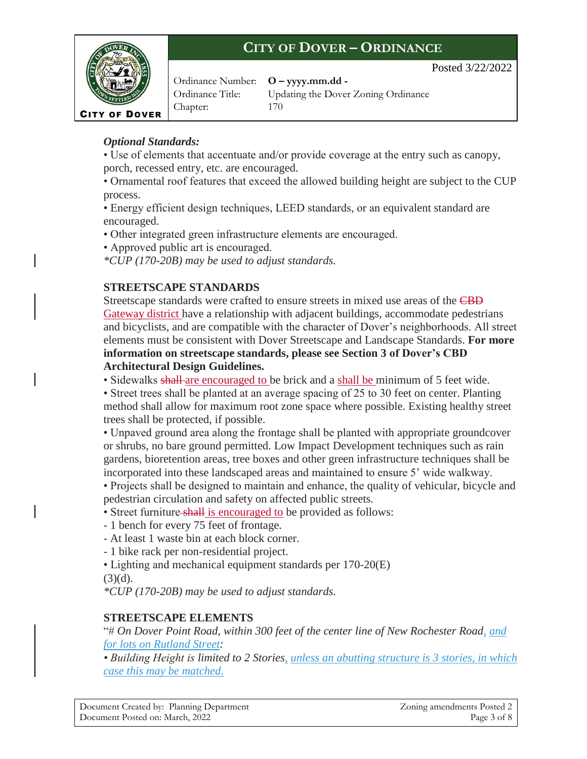

Ordinance Number: **O – yyyy.mm.dd -** Chapter: 170

Ordinance Title: Updating the Dover Zoning Ordinance

Posted 3/22/2022

### *Optional Standards:*

• Use of elements that accentuate and/or provide coverage at the entry such as canopy, porch, recessed entry, etc. are encouraged.

• Ornamental roof features that exceed the allowed building height are subject to the CUP process.

• Energy efficient design techniques, LEED standards, or an equivalent standard are encouraged.

• Other integrated green infrastructure elements are encouraged.

• Approved public art is encouraged.

*\*CUP (170-20B) may be used to adjust standards.*

### **STREETSCAPE STANDARDS**

Streetscape standards were crafted to ensure streets in mixed use areas of the CBD Gateway district have a relationship with adjacent buildings, accommodate pedestrians and bicyclists, and are compatible with the character of Dover's neighborhoods. All street elements must be consistent with Dover Streetscape and Landscape Standards. **For more information on streetscape standards, please see Section 3 of Dover's CBD Architectural Design Guidelines.**

• Sidewalks shall are encouraged to be brick and a shall be minimum of 5 feet wide.

• Street trees shall be planted at an average spacing of 25 to 30 feet on center. Planting method shall allow for maximum root zone space where possible. Existing healthy street trees shall be protected, if possible.

• Unpaved ground area along the frontage shall be planted with appropriate groundcover or shrubs, no bare ground permitted. Low Impact Development techniques such as rain gardens, bioretention areas, tree boxes and other green infrastructure techniques shall be incorporated into these landscaped areas and maintained to ensure 5' wide walkway.

• Projects shall be designed to maintain and enhance, the quality of vehicular, bicycle and pedestrian circulation and safety on affected public streets.

• Street furniture shall is encouraged to be provided as follows:

- 1 bench for every 75 feet of frontage.
- At least 1 waste bin at each block corner.
- 1 bike rack per non-residential project.
- Lighting and mechanical equipment standards per 170-20(E)

 $(3)(d)$ .

*\*CUP (170-20B) may be used to adjust standards.*

### **STREETSCAPE ELEMENTS**

"# *On Dover Point Road, within 300 feet of the center line of New Rochester Road, and for lots on Rutland Street:*

*• Building Height is limited to 2 Stories, unless an abutting structure is 3 stories, in which case this may be matched.*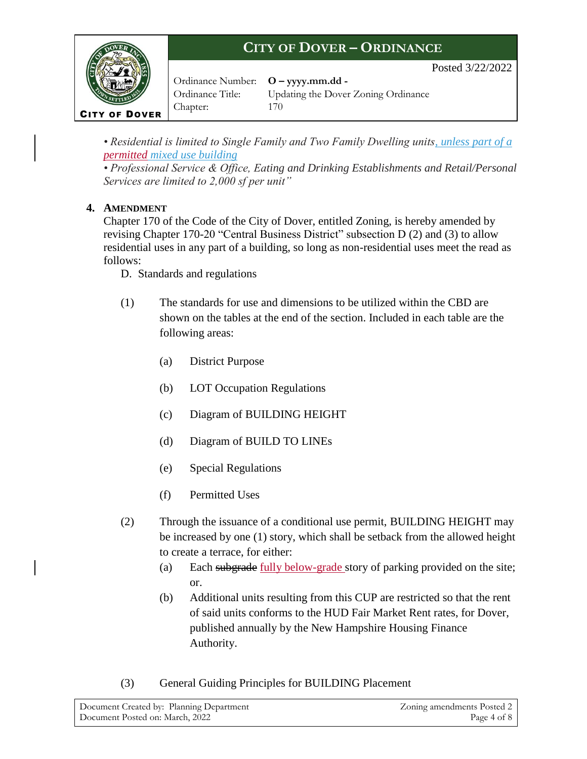Posted 3/22/2022



Ordinance Number: **O – yyyy.mm.dd -** Chapter: 170

Ordinance Title: Updating the Dover Zoning Ordinance

*• Residential is limited to Single Family and Two Family Dwelling units, unless part of a permitted mixed use building*

*• Professional Service & Office, Eating and Drinking Establishments and Retail/Personal Services are limited to 2,000 sf per unit"*

### **4. AMENDMENT**

Chapter 170 of the Code of the City of Dover, entitled Zoning, is hereby amended by revising Chapter 170-20 "Central Business District" subsection D (2) and (3) to allow residential uses in any part of a building, so long as non-residential uses meet the read as follows:

D. Standards and regulations

- (1) The standards for use and dimensions to be utilized within the CBD are shown on the tables at the end of the section. Included in each table are the following areas:
	- (a) District Purpose
	- (b) LOT Occupation Regulations
	- (c) Diagram of BUILDING HEIGHT
	- (d) Diagram of BUILD TO LINEs
	- (e) Special Regulations
	- (f) Permitted Uses
- (2) Through the issuance of a conditional use permit, BUILDING HEIGHT may be increased by one (1) story, which shall be setback from the allowed height to create a terrace, for either:
	- (a) Each subgrade fully below-grade story of parking provided on the site; or.
	- (b) Additional units resulting from this CUP are restricted so that the rent of said units conforms to the HUD Fair Market Rent rates, for Dover, published annually by the New Hampshire Housing Finance Authority.
- (3) General Guiding Principles for BUILDING Placement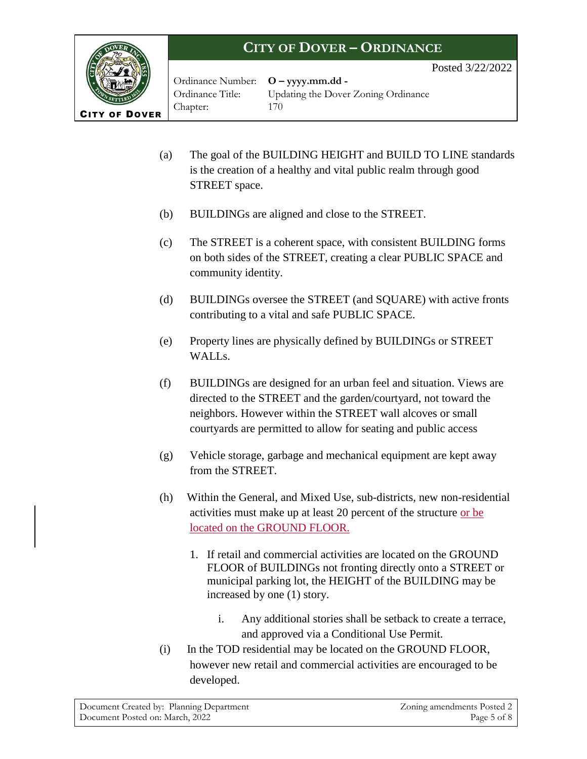Posted 3/22/2022



Ordinance Number: **O – yyyy.mm.dd -** Chapter: 170

Ordinance Title: Updating the Dover Zoning Ordinance

- (a) The goal of the BUILDING HEIGHT and BUILD TO LINE standards is the creation of a healthy and vital public realm through good STREET space.
- (b) BUILDINGs are aligned and close to the STREET.
- (c) The STREET is a coherent space, with consistent BUILDING forms on both sides of the STREET, creating a clear PUBLIC SPACE and community identity.
- (d) BUILDINGs oversee the STREET (and SQUARE) with active fronts contributing to a vital and safe PUBLIC SPACE.
- (e) Property lines are physically defined by BUILDINGs or STREET WALL<sub>s.</sub>
- (f) BUILDINGs are designed for an urban feel and situation. Views are directed to the STREET and the garden/courtyard, not toward the neighbors. However within the STREET wall alcoves or small courtyards are permitted to allow for seating and public access
- (g) Vehicle storage, garbage and mechanical equipment are kept away from the STREET.
- (h) Within the General, and Mixed Use, sub-districts, new non-residential activities must make up at least 20 percent of the structure or be located on the GROUND FLOOR.
	- 1. If retail and commercial activities are located on the GROUND FLOOR of BUILDINGs not fronting directly onto a STREET or municipal parking lot, the HEIGHT of the BUILDING may be increased by one (1) story.
		- i. Any additional stories shall be setback to create a terrace, and approved via a Conditional Use Permit.
- (i) In the TOD residential may be located on the GROUND FLOOR, however new retail and commercial activities are encouraged to be developed.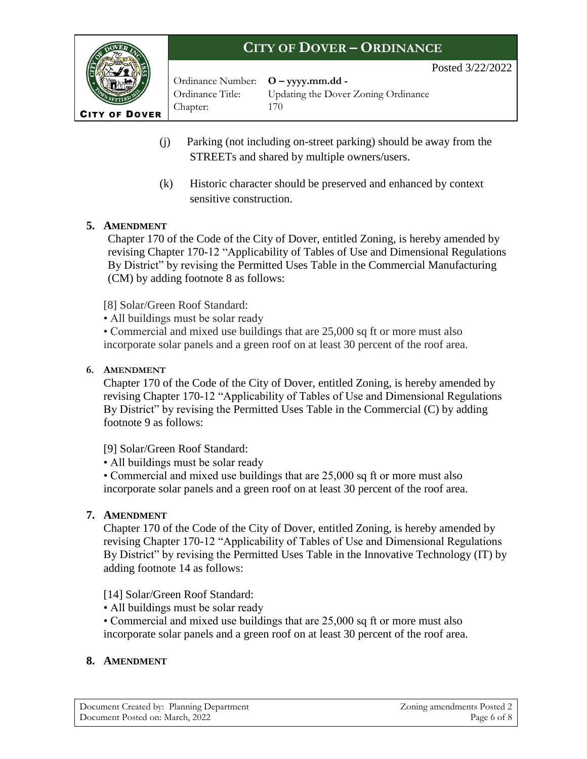2022

|                      | <b>CITY OF DOVER – ORDINANCE</b>          |                                     |  |
|----------------------|-------------------------------------------|-------------------------------------|--|
|                      |                                           | Posted $3/22/2$                     |  |
|                      | Ordinance Number: <b>O</b> – yyyy.mm.dd - |                                     |  |
|                      | Ordinance Title:                          | Updating the Dover Zoning Ordinance |  |
| <b>CITY OF DOVER</b> | Chapter:                                  | 170                                 |  |
|                      |                                           |                                     |  |

- (j) Parking (not including on-street parking) should be away from the STREETs and shared by multiple owners/users.
- (k) Historic character should be preserved and enhanced by context sensitive construction.

### **5. AMENDMENT**

Chapter 170 of the Code of the City of Dover, entitled Zoning, is hereby amended by revising Chapter 170-12 "Applicability of Tables of Use and Dimensional Regulations By District" by revising the Permitted Uses Table in the Commercial Manufacturing (CM) by adding footnote 8 as follows:

[8] Solar/Green Roof Standard:

• All buildings must be solar ready

• Commercial and mixed use buildings that are 25,000 sq ft or more must also incorporate solar panels and a green roof on at least 30 percent of the roof area.

### **6. AMENDMENT**

Chapter 170 of the Code of the City of Dover, entitled Zoning, is hereby amended by revising Chapter 170-12 "Applicability of Tables of Use and Dimensional Regulations By District" by revising the Permitted Uses Table in the Commercial (C) by adding footnote 9 as follows:

[9] Solar/Green Roof Standard:

• All buildings must be solar ready

• Commercial and mixed use buildings that are 25,000 sq ft or more must also incorporate solar panels and a green roof on at least 30 percent of the roof area.

### **7. AMENDMENT**

Chapter 170 of the Code of the City of Dover, entitled Zoning, is hereby amended by revising Chapter 170-12 "Applicability of Tables of Use and Dimensional Regulations By District" by revising the Permitted Uses Table in the Innovative Technology (IT) by adding footnote 14 as follows:

[14] Solar/Green Roof Standard:

• All buildings must be solar ready

• Commercial and mixed use buildings that are 25,000 sq ft or more must also incorporate solar panels and a green roof on at least 30 percent of the roof area.

#### **8. AMENDMENT**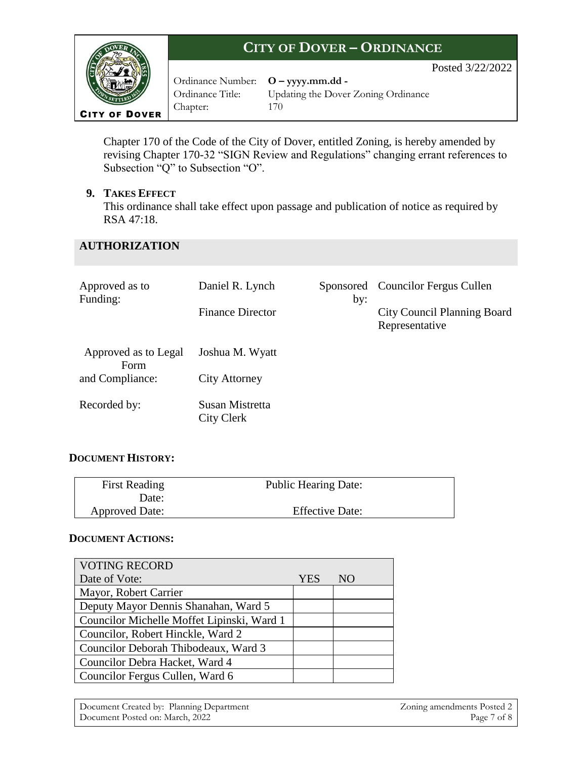

Ordinance Number: **O – yyyy.mm.dd -** Chapter: 170

Ordinance Title: Updating the Dover Zoning Ordinance

Posted 3/22/2022

Chapter 170 of the Code of the City of Dover, entitled Zoning, is hereby amended by revising Chapter 170-32 "SIGN Review and Regulations" changing errant references to Subsection "Q" to Subsection "O".

#### **9. TAKES EFFECT**

This ordinance shall take effect upon passage and publication of notice as required by RSA 47:18.

### **AUTHORIZATION**

| Approved as to<br>Funding:   | Daniel R. Lynch               | by: | Sponsored Councilor Fergus Cullen                    |
|------------------------------|-------------------------------|-----|------------------------------------------------------|
|                              | <b>Finance Director</b>       |     | <b>City Council Planning Board</b><br>Representative |
| Approved as to Legal<br>Form | Joshua M. Wyatt               |     |                                                      |
| and Compliance:              | <b>City Attorney</b>          |     |                                                      |
| Recorded by:                 | Susan Mistretta<br>City Clerk |     |                                                      |

### **DOCUMENT HISTORY:**

| <b>First Reading</b>  | <b>Public Hearing Date:</b> |
|-----------------------|-----------------------------|
| Date:                 |                             |
| <b>Approved Date:</b> | <b>Effective Date:</b>      |

#### **DOCUMENT ACTIONS:**

| <b>VOTING RECORD</b>                       |            |     |
|--------------------------------------------|------------|-----|
| Date of Vote:                              | <b>YES</b> | NO. |
| Mayor, Robert Carrier                      |            |     |
| Deputy Mayor Dennis Shanahan, Ward 5       |            |     |
| Councilor Michelle Moffet Lipinski, Ward 1 |            |     |
| Councilor, Robert Hinckle, Ward 2          |            |     |
| Councilor Deborah Thibodeaux, Ward 3       |            |     |
| Councilor Debra Hacket, Ward 4             |            |     |
| Councilor Fergus Cullen, Ward 6            |            |     |